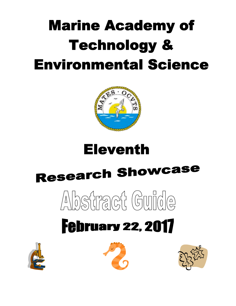# **Marine Academy of Technology & Environmental Science**



### **Eleventh**

# **Research Showcase**

# 

## **February 22, 2017**





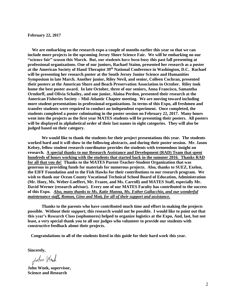#### **February 22, 2017**

 **We are embarking on the research expo a couple of months earlier this year so that we can include more projects in the upcoming Jersey Shore Science Fair. We will be embarking on our "science fair" season this March. But, our students have been busy this past fall presenting at professional organizations. One of our juniors, Rachael Staino, presented her research as a poster at the American Society of Hand Therapist 39th National Conference in Washington, D.C. Rachael will be presenting her research poster at the South Jersey Junior Science and Humanities Symposium in late March. Another junior, Riley Nevil, and senior, Colleen Cochran, presented their posters at the American Shore and Beach Preservation Association in October. Riley took home the best poster award. In late October, three of our seniors, Anna Francisco, Samantha Orndorff, and Olivia Schailey, and one junior, Alaina Perdon, presented their research at the American Fisheries Society – Mid-Atlantic Chapter meeting. We are moving toward including more student presentations in professional organizations. In terms of this Expo, all freshmen and transfer students were required to conduct an independent experiment. Once completed, the students completed a poster culminating in the poster session on February 22, 2017. Many hours went into the projects as the first year MATES students will be presenting their posters. All posters will be displayed in alphabetical order of their last names in eight categories. They will also be judged based on their category.** 

**We would like to thank the students for their project presentations this year. The students worked hard and it will show in the following abstracts, and during their poster session. Mr. Jason Kelsey, fellow student research coordinator provides the students with tremendous insight on research. A special thanks to our Research Assistance and Development (RAD) Team that spent hundreds of hours working with the students that started back in the summer 2016. Thanks RAD for all that you do! Thanks to the MATES Parent-Teacher-Student Organization that was generous in providing funds for materials for numerous projects. Also, thanks to SUEZ, Exelon, the EIFF Foundation and to the Fish Hawks for their contributions to our research program. We wish to thank our Ocean County Vocational Technical School Board of Education, Administration (Mr. Hoey, Ms. Weber-Loeffert, Mr. Frazee, and Ms. Carroll) and MATES Staff, especially Mr. David Werner (research advisor). Every one of our MATES Faculty has contributed to the success of this Expo.** *Also, many thanks to Ms. Katie Manna, Ms. Esther Gallacchio, and our wonderful maintenance staff, Roman, Gino and Matt, for all of their support and assistance.* 

**Thanks to the parents who have contributed much time and effort in making the projects possible. Without their support, this research would not be possible. I would like to point out that this year's Research Class (sophomores) helped to organize logistics at the Expo, And, last, but not least, a very special thank you to all our judges who volunteer to provide our students with constructive feedback about their projects.** 

 **Congratulations to all of the students listed in this guide for their hard work this year.**

**Sincerely,**

John Wrok

**John Wnek, supervisor, Science and Research**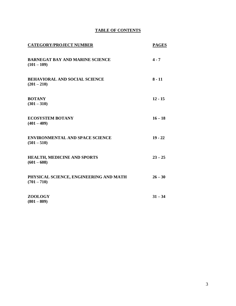#### **TABLE OF CONTENTS**

| <b>CATEGORY/PROJECT NUMBER</b>                          | <b>PAGES</b> |
|---------------------------------------------------------|--------------|
| <b>BARNEGAT BAY AND MARINE SCIENCE</b><br>$(101 - 109)$ | $4 - 7$      |
| <b>BEHAVIORAL AND SOCIAL SCIENCE</b><br>$(201 - 210)$   | $8 - 11$     |
| <b>BOTANY</b><br>$(301 - 310)$                          | $12 - 15$    |
| <b>ECOSYSTEM BOTANY</b><br>$(401 - 409)$                | $16 - 18$    |
| <b>ENVIRONMENTAL AND SPACE SCIENCE</b><br>$(501 - 510)$ | $19 - 22$    |
| <b>HEALTH, MEDICINE AND SPORTS</b><br>$(601 - 608)$     | $23 - 25$    |
| PHYSICAL SCIENCE, ENGINEERING AND MATH<br>$(701 - 710)$ | $26 - 30$    |
| <b>ZOOLOGY</b><br>$(801 - 809)$                         | $31 - 34$    |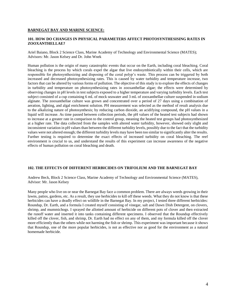#### **BARNEGAT BAY AND MARINE SCIENCE:**

#### **101. HOW DO CHANGES IN PHYSICAL PARAMETERS AFFECT PHOTOSYNTHESISING RATES IN ZOOXANTHELLAE?**

Ariel Baiano, Block 2 Science Class, Marine Academy of Technology and Environmental Science (MATES); Advisors: Mr. Jason Kelsey and Dr. John Wnek

Human pollution is the origin of many catastrophic events that occur on the Earth, including coral bleaching. Coral bleaching is the process by which corals expel the algae that live endosymbiotically within their cells, which are responsible for photosynthesizing and disposing of the coral polyp's waste. This process can be triggered by both increased and decreased photosynthesizing rates. This is caused by water turbidity and temperature increase, two factors that can be altered by various forms of pollution. The objective of this study is to explore the effects of changes in turbidity and temperature on photosynthesizing rates in zooxanthellae algae; the effects were determined by observing changes in pH levels in test subjects exposed to a higher temperature and varying turbidity levels. Each test subject consisted of a cup containing 6 mL of mock seawater and 3 mL of zooxanthellae culture suspended in sodium alginate. The zooxanthellae culture was grown and concentrated over a period of 27 days using a combination of aeration, lighting, and algal enrichment solution. PH measurement was selected as the method of result analysis due to the alkalizing nature of photosynthesis; by reducing carbon dioxide, an acidifying compound, the pH values in a liquid will increase. As time passed between collection periods, the pH values of the heated test subjects had shown to increase at a greater rate in comparison to the control group, meaning the heated test groups had photosynthesized at a higher rate. The data collected from the samples with altered water turbidity, however, showed only slight and inconsistent variation in pH values than between the different turbidity levels, possibly due to the fact that the turbidity values were not altered enough; the different turbidity levels may have been too similar to significantly alter the results. Further testing is required to determine the exact effects of increased turbidity on coral bleaching. The reef environment is crucial to us, and understand the results of this experiment can increase awareness of the negative effects of human pollution on coral bleaching and death.

#### **102. THE EFFECTS OF DIFFERENT HERBICIDES ON TRIFOLIUM AND THE BARNEGAT BAY**

Andrew Beck, Block 2 Science Class, Marine Academy of Technology and Environmental Science (MATES), Advisor: Mr. Jason Kelsey

Many people who live on or near the Barnegat Bay face a common problem. There are always weeds growing in their lawns, patios, gardens, etc. As a result, they use herbicides to kill off these weeds. What they do not know is that these herbicides can have a deadly effect on wildlife in the Barnegat Bay. In my project, I tested three different herbicides: Roundup, Dr. Earth, and a formula I created myself consisting of vinegar, salt and Dawn Dish Detergent, on clovers, shrimp, and mummichogs. I sprayed the allotted amount of herbicide on different pots of clover and then extracted the runoff water and inserted it into tanks containing different specimens. I observed that the Roundup effectively killed off the clover, fish, and shrimp, Dr. Earth had no effect on any of them, and my formula killed off the clover more efficiently than the others while not harming the fish or shrimp. This experiment was important because it shows that Roundup, one of the more popular herbicides, is not as effective nor as good for the environment as a natural homemade herbicide.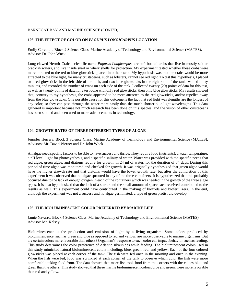#### BARNEGAT BAY AND MARINE SCIENCE (CONT'D)

#### **103. THE EFFECT OF COLOR ON** *PAGURUS LONGICARPUS* **LOCATION**

Emily Corcoran, Block 2 Science Class, Marine Academy of Technology and Environmental Science (MATES), Advisor: Dr. John Wnek

Long-clawed Hermit Crabs, scientific name *Pagurus Longicarpus,* are soft bodied crabs that live in mostly salt or brackish waters, and live inside snail or whelk shells for protection. My experiment tested whether these crabs were more attracted to the red or blue glowsticks placed into their tank. My hypothesis was that the crabs would be more attracted to the blue light, for many crustaceans, such as lobsters, cannot see red light. To test this hypothesis, I placed two red glowsticks in the left side of the tank, and two blue glowsticks in the right side of the tank, waited thirty minutes, and recorded the number of crabs on each side of the tank. I collected twenty (20) points of data for this test, as well as twenty points of data for a test done with only red glowsticks, then only blue glowsticks. My results showed that, contrary to my hypothesis, the crabs appeared to be more attracted to the red glowsticks, and/or repelled away from the blue glowsticks. One possible cause for this outcome is the fact that red light wavelengths are the longest of any color, so they can pass through the water more easily than the much shorter blue light wavelengths. This data gathered is important because not much research has been done on this species, and the vision of other crustaceans has been studied and been used to make advancements in technology.

#### **104. GROWTH RATES OF THREE DIFFERENT TYPES OF ALGAE**

Jennifer Herrera, Block 3 Science Class, Marine Academy of Technology and Environmental Science (MATES); Advisors: Mr. David Werner and Dr. John Wnek

All algae need specific factors to be able to have success and thrive. They require food (nutrients), a water temperature, a pH level, light for photosynthesis, and a specific salinity of water. Water was provided with the specific needs that red algae, green algae, and diatoms require for growth, in 24 ml of water, for the duration of 34 days. During this period of time algae was monitored and checked for growth. It was originally hypothesized that green algae would have the higher growth rate and that diatoms would have the lower growth rate, but after the completion of this experiment it was observed that no algae sprouted in any of the three containers. It is hypothesized that this probably occurred due to the lack of enough oxygen in each of the containers which was needed in the growth of the three algae types. It is also hypothesized that the lack of a starter and the small amount of space each received contributed to the results as well. This experiment could have contributed in the making of biofuels and biofertilizers. In the end, although the experiment was not a success and no algae germinated, a type of green protist did develop.

#### **105. THE BIOLUMINESCENT COLOR PREFERRED BY MARINE LIFE**

Jamie Navarro, Block 4 Science Class, Marine Academy of Technology and Environmental Science (MATES), Advisor: Mr. Kelsey

Bioluminescence is the production and emission of light by a living organism. Some colors produced by bioluminescence, such as green and blue as opposed to red and yellow, are more observable to marine organisms. But are certain colors more favorable than others? Organism's' response to each color can impact behavior such as feeding. This study determines the color preference of Atlantic silversides while feeding. The bioluminescent colors used in this study mimicked natural bioluminescent colors including: blue, green, red, and yellow. Each of the four colored glowsticks was placed at each corner of the tank. The fish were fed once in the morning and once in the evening. When the fish were fed, food was sprinkled at each corner of the tank to observe which color the fish were more comfortable taking food from. The data showed that more fish took food from the corners with the colors blue and green than the others. This study showed that these marine bioluminescent colors, blue and green, were more favorable than red and yellow.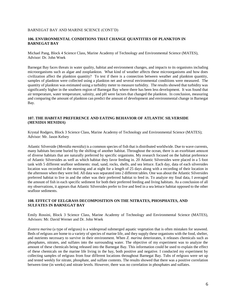#### BARNEGAT BAY AND MARINE SCIENCE (CONT'D)

#### **106. ENVIRONMENTAL CONDITIONS THAT CHANGE QUANTITIES OF PLANKTON IN BARNEGAT BAY**

Michael Pang, Block 4 Science Class, Marine Academy of Technology and Environmental Science (MATES), Advisor: Dr. John Wnek

Barnegat Bay faces threats in water quality, habitat and environment changes, and impacts to its organisms including microorganisms such as algae and zooplankton. What kind of weather affects these microorganisms and how does civilization affect the plankton quantity? To test if there is a connection between weather and plankton quantity, samples of plankton were collected using a plankton net and several environmental conditions were measured. The quantity of plankton was estimated using a turbidity meter to measure turbidity. The results showed that turbidity was significantly higher in the southern region of Barnegat Bay where there has been less development. It was found that air temperature, water temperature, salinity, and pH were factors that changed the plankton. In conclusion, measuring and comparing the amount of plankton can predict the amount of development and environmental change in Barnegat Bay.

#### **107. THE HABITAT PREFERENCE AND EATING BEHAVIOR OF ATLANTIC SILVERSIDE (***MENIDIA MENIDIA***)**

Krystal Rodgers, Block 3 Science Class, Marine Academy of Technology and Environmental Science (MATES); Advisor: Mr. Jason Kelsey

Atlantic Silverside (*Menidia menidia*) is a common species of fish that is distributed worldwide. Due to wave currents, many habitats become buried by the shifting of another habitat. Throughout the ocean, there is an exorbitant amount of diverse habitats that are naturally preferred by specific organisms. My research focused on the habitat preference of Atlantic Silversides as well as which habitat they favor feeding in. 20 Atlantic Silversides were placed in a 5 foot tank with 5 different seafloor sediments: mud, sand, rocks, shells, and sea lettuce. Each day, data of each silversides location was recorded in the morning and at night for a length of 25 days along with a recording of their location in the afternoon when they were fed. All data was separated into 2 different tables. One was about the Atlantic Silversides preferred habitat to live in and the other was their preferred habitat to feed in. To analyze my final data, I averaged the amount of fish in each specific sediment for both their preferred feeding and living habitats. As a conclusion of all my observations, it appears that Atlantic Silversides prefer to live and feed in a sea lettuce habitat opposed to the other seafloor sediments.

#### **108. EFFECT OF EELGRASS DECOMPOSITION ON THE NITRATES, PHOSPHATES, AND SULFATES IN BARNEGAT BAY**

Emily Rossini, Block 3 Science Class, Marine Academy of Technology and Environmental Science (MATES), Advisors: Mr. David Werner and Dr. John Wnek

*Zostera marina* (a type of eelgrass) is a widespread submerged aquatic vegetation that is often mistaken for seaweed. Beds of eelgrass are home to a variety of species of marine life, and they supply these organisms with the food, shelter, and nutrients necessary to survive in their environment. When *Z. marina* deteriorates, it releases chemicals such as phosphates, nitrates, and sulfates into the surrounding water. The objective of my experiment was to analyze the amount of these chemicals being released into the Barnegat Bay. This information could be used to explain the effect of these chemicals on the marine life living in the bay, both positive and negative. I conducted my experiment by collecting samples of eelgrass from four different locations throughout Barnegat Bay. Tubs of eelgrass were set up and tested weekly for nitrate, phosphate, and sulfate contents. The results showed that there was a positive correlation between time (in weeks) and nitrate levels. However, there was no correlation in phosphates and sulfates.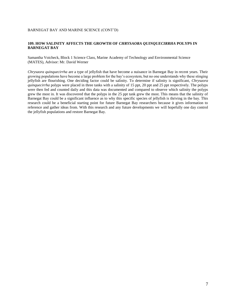#### BARNEGAT BAY AND MARINE SCIENCE (CONT'D)

#### **109. HOW SALINITY AFFECTS THE GROWTH OF** *CHRYSAORA QUINQUECIRRHA* **POLYPS IN BARNEGAT BAY**

Samantha Voicheck, Block 1 Science Class, Marine Academy of Technology and Environmental Science (MATES), Advisor: Mr. David Werner

*Chrysaora quinquecirrha* are a type of jellyfish that have become a nuisance in Barnegat Bay in recent years. Their growing populations have become a large problem for the bay's ecosystem, but no one understands why these stinging jellyfish are flourishing. One deciding factor could be salinity. To determine if salinity is significant, *Chrysaora quinquecirrha* polyps were placed in three tanks with a salinity of 15 ppt, 20 ppt and 25 ppt respectively. The polyps were then fed and counted daily and this data was documented and compared to observe which salinity the polyps grew the most in. It was discovered that the polyps in the 25 ppt tank grew the most. This means that the salinity of Barnegat Bay could be a significant influence as to why this specific species of jellyfish is thriving in the bay. This research could be a beneficial starting point for future Barnegat Bay researchers because it gives information to reference and gather ideas from. With this research and any future developments we will hopefully one day control the jellyfish populations and restore Barnegat Bay.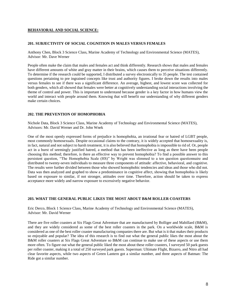#### **BEHAVIORAL AND SOCIAL SCIENCE:**

#### **201. SUBJECTIVITY OF SOCIAL COGNITION IN MALES VERSUS FEMALES**

Anthony Chen, Block 3 Science Class, Marine Academy of Technology and Environmental Science (MATES), Advisor: Mr. Dave Werner

People often make the claim that males and females act and think differently. Research shows that males and females have different amounts of white and gray matter in their brains, which causes them to perceive situations differently. To determine if the research could be supported, I distributed a survey electronically to 35 people. The test contained questions pertaining to pre ingrained concepts like trust and authority figures. I broke down the results into males versus females to see if there was a significant difference. An average, highest, and lowest score was collected for both genders, which all showed that females were better at cognitively understanding social interactions involving the theme of control and power. This is important to understand because gender is a key factor in how humans view the world and interact with people around them. Knowing that will benefit our understanding of why different genders make certain choices.

#### **202. THE PREVENTION OF HOMOPHOBIA**

Nichole Data, Block 3 Science Class, Marine Academy of Technology and Environmental Science (MATES), Advisors: Mr. David Werner and Dr. John Wnek

One of the most openly expressed forms of prejudice is homophobia, an irrational fear or hatred of LGBT people, most commonly homosexuals. Despite occasional claims to the contrary, it is widely accepted that homosexuality is, in fact, natural and not subject to harsh treatment, it is also believed that homophobia is impossible to rid of. Or, people act in a burst of seemingly justified hatred, a method that has been ineffective as long as there have been people choosing this method; therefore, is there an effective way to prevent homophobia? To find a possible answer to this persistent question, "The Homophobia Scale (HS)" by Wright was slimmed to a ten question questionnaire and distributed to twenty-seven individuals to measure three components of attitude: affective, behavioral, and cognitive. The results were further divided between those who showed homophobic tendencies and ideas and those who did not. Data was then analyzed and graphed to show a predominance in cognitive affect, showing that homophobia is likely based on exposure to similar, if not stronger, attitudes over time. Therefore, action should be taken to express acceptance more widely and narrow exposure to excessively negative behavior.

#### **203. WHAT THE GENERAL PUBLIC LIKES THE MOST ABOUT B&M ROLLER COASTERS**

Eric Derco, Block 1 Science Class, Marine Academy of Technology and Environmental Science (MATES), Advisor: Mr. David Werner

There are five roller coasters at Six Flags Great Adventure that are manufactured by Bolliger and Mabillard (B&M), and they are widely considered as some of the best roller coasters in the park. On a worldwide scale, B&M is considered as one of the best roller coaster manufacturing companies there are. But what is it that makes their products so enjoyable and popular? The idea of this research is to find out what the general public likes the most about the B&M roller coasters at Six Flags Great Adventure so B&M can continue to make use of these aspects or use them more often. To figure out what the general public liked the most about these roller coasters, I surveyed 50 park guests per roller coaster, making it a total of 250 surveyed park guests. Superman: Ultimate Flight, Bizarro, and Nitro all had clear favorite aspects, while two aspects of Green Lantern got a similar number, and three aspects of Batman: The Ride got a similar number.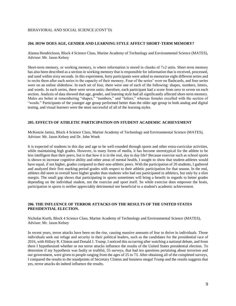#### BEHAVIORAL AND SOCIAL SCIENCE (CONT'D)

#### **204. HOW DOES AGE, GENDER AND LEARNING STYLE AFFECT SHORT-TERM MEMORY?**

Alanna Hendrickson, Block 4 Science Class, Marine Academy of Technology and Environmental Science (MATES), Advisor: Mr. Jason Kelsey

Short-term memory, or working memory, is where information is stored in chunks of  $7\pm2$  units. Short-term memory has also been described as a section in working memory that is responsible for information that is received, processed, and used within sixty seconds. In this experiment, forty participants were asked to memorize eight different series and to recite them after each series to the capacity of their memory. Four of the series' were on flashcards, and four series were on an online slideshow. In each set of four, there were one of each of the following: shapes, numbers, letters, and words. In each series, there were seven units; therefore, each participant had a score from zero to seven on each section. Analysis of data showed that age, gender, and learning style had all significantly affected short-term memory. Males are better at remembering "shapes," "numbers," and "letters," whereas females excelled with the section of "words." Participants of the younger age group performed better than the older age group in both analog and digital testing, and visual learners were the most successful of all of the learning styles.

#### **205. EFFECTS OF ATHLETIC PARTICIPATION ON STUDENT ACADEMIC ACHIEVEMENT**

McKenzie Janisz, Block 4 Science Class, Marine Academy of Technology and Environmental Science (MATES), Advisor: Mr. Jason Kelsey and Dr. John Wnek

It is expected of students in this day and age to be well-rounded through sports and other extra-curricular activities, while maintaining high grades. However, in many forms of media, it has become stereotypical for the athlete to be less intelligent than their peers, but is that how it is in the real, day to day life? Because exercise such as school sports is shown to increase cognitive ability and other areas of mental health, I sought to show that student-athletes would have equal, if not higher, grades compared to their non-athletic peers. With the participation of 20 students, I gathered and analyzed their first marking period grades with respect to their athletic participation for that season. In the end, athletes did seem to overall have higher grades than students who had not participated in athletics, but only by a slim margin. The small gap shows that participating in sports sometimes will bring a benefit in regards to better grades depending on the individual student, not the exercise and sport itself. So while exercise does empower the brain, participation in sports is neither appreciably detrimental nor beneficial to a student's academic achievement.

#### **206. THE INFLUENCE OF TERROR ATTACKS ON THE RESULTS OF THE UNITED STATES PRESIDENTIAL ELECTION.**

Nicholas Kurth, Block 4 Science Class, Marine Academy of Technology and Environmental Science (MATES), Advisor: Mr. Jason Kelsey

In recent years, terror attacks have been on the rise, causing massive amounts of fear to thrive in individuals. Those individuals seek out refuge and security in their political leaders, such as the candidates for the presidential race of 2016, with Hillary R. Clinton and Donald J. Trump. I noticed this occurring after watching a national debate, and from there I hypothesized whether or not terror attacks influence the results of the United States presidential election. To determine if my hypothesis was faulty or truthful, 55 surveys, that had ten questions pertaining about terrorism and our government, were given to people ranging from the ages of 25 to 73. After obtaining all of the completed surveys, I compared the results to the standpoints of Secretary Clinton and business mogul Trump and the results suggests that yes, terror attacks do indeed influence the results.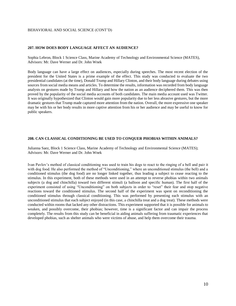#### BEHAVIORAL AND SOCIAL SCIENCE (CONT'D)

#### **207. HOW DOES BODY LANGUAGE AFFECT AN AUDIENCE?**

Sophia Lebron, Block 1 Science Class, Marine Academy of Technology and Environmental Science (MATES), Advisors: Mr. Dave Werner and Dr. John Wnek

Body language can have a large effect on audiences, especially during speeches. The most recent election of the president for the United States is a prime example of the effect. This study was conducted to evaluate the two presidential candidates (at the time), Donald Trump and Hillary Clinton, and their body language during debates using sources from social media means and articles. To determine the results, information was recorded from body language analysts on gestures made by Trump and Hillary and how the nation as an audience deciphered them. This was then proved by the popularity of the social media accounts of both candidates. The main media account used was Twitter. It was originally hypothesized that Clinton would gain more popularity due to her less abrasive gestures, but the more dramatic gestures that Trump made captured more attention from the nation. Overall, the more expressive one speaker may be with his or her body results in more captive attention from his or her audience and may be useful to know for public speakers.

#### **208. CAN CLASSICAL CONDITIONING BE USED TO CONQUER PHOBIAS WITHIN ANIMALS?**

Julianna Saez, Block 1 Science Class, Marine Academy of Technology and Environmental Science (MATES); Advisors: Mr. Dave Werner and Dr. John Wnek

Ivan Pavlov's method of classical conditioning was used to train his dogs to react to the ringing of a bell and pair it with dog food. He also performed the method of "Unconditioning," where an unconditioned stimulus (the bell) and a conditioned stimulus (the dog food) are no longer linked together, thus leading a subject to cease reacting to the stimulus. In this experiment, both of these methods were used in an attempt to reverse phobias within two animals subjects (a dog and chinchilla) toward two different stimuli (a balloon and specific human). The first half of the experiment consisted of using "Unconditioning" on both subjects in order to "reset" their fear and stop negative reactions toward the conditioned stimulus. The second half of the experiment was spent on reconditioning the conditioned stimulus through classical conditioning. This was performed by presenting each stimulus with an unconditioned stimulus that each subject enjoyed (in this case, a chinchilla treat and a dog treat). These methods were conducted within rooms that lacked any other distractions. This experiment supported that it is possible for animals to weaken, and possibly overcome, their phobias; however, time is a significant factor and can impair the process completely. The results from this study can be beneficial in aiding animals suffering from traumatic experiences that developed phobias, such as shelter animals who were victims of abuse, and help them overcome their trauma.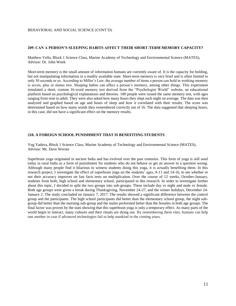#### BEHAVIORAL AND SOCIAL SCIENCE (CONT'D)

#### **209. CAN A PERSON'S SLEEPING HABITS AFFECT THEIR SHORT-TERM MEMORY CAPACITY?**

Matthew Vella, Block 1 Science Class, Marine Academy of Technology and Environmental Science (MATES), Advisor: Dr. John Wnek

Short-term memory is the small amount of information humans are currently aware of. It is the capacity for holding, but not manipulating information in a readily available state. Short-term memory is very brief and is often limited to only 30 seconds or so. According to Miller's Law, the average number of items a person can hold in working memory is seven, plus or minus two. Sleeping habits can affect a person's memory, among other things. This experiment simulated a short, custom 16-word memory test derived from the "Psychologist World" website, an educational platform based on psychological explanations and theories. 100 people were issued the same memory test, with ages ranging from nine to adult. They were also asked how many hours they slept each night on average. The data was then analyzed and graphed based on age and hours of sleep and how it correlated with their results. The score was determined based on how many words they remembered correctly out of 16. The data suggested that sleeping hours, in this case, did not have a significant effect on the memory results.

#### **210. A FOREIGN SCHOOL PUNISHMENT THAT IS BENEFITING STUDENTS**

Yug Yadava, Block 1 Science Class, Marine Academy of Technology and Environmental Science (MATES), Advisor: Mr. Dave Werner

Superbrain yoga originated in ancient India and has evolved over the past centuries. This form of yoga is still used today in rural India as a form of punishment for students who do not behave or get an answer to a question wrong. Although many people find it hilarious to witness students doing this yoga, it is actually benefiting them. In this research project, I investigate the effect of superbrain yoga on the students' ages, 8-11 and 14-16, to see whether or not their accuracy improves on fast facts tests on multiplication. Over the course of 12 weeks, October-January, students from both, high school and elementary school, participated in this research. In order to investigate further about this topic, I decided to split the two groups into sub-groups. These include day vs night and male vs female. Both age groups were given a break during Thanksgiving, November 24-27, and the winter holidays, December 24- January 2. The study concluded on January 7, 2017. The results showed a significant difference between the control group and the participants. The high school participants did better than the elementary school group, the night subgroup did better than the morning sub-group and the males performed better than the females in both age groups. The final factor was proven by the stats showing that this superbrain yoga is only a temporary effect. As many parts of the world begin to interact, many cultures and their rituals are dying out. By remembering these rites, humans can help one another in case if advanced technologies fail to help mankind in the coming years.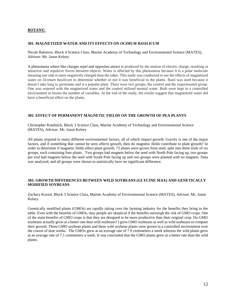#### **BOTANY:**

#### **301. MAGNETIZED WATER AND ITS EFFECTS ON** *OCIMUM BASILICUM*

Nicole Balsirow, Block 4 Science Class, Marine Academy of Technology and Environmental Science (MATES), Advisor: Mr. Jason Kelsey

A phenomena where like charges repel and opposites attract is produced by the motion of electric charge, resulting in attractive and repulsive forces between objects. Water is affected by this phenomena because it is a polar molecule meaning one side is more negatively charged than the other. This study was conducted to see the effects of magnetized water on *Ocimum basilicum* to determine whether or not it was beneficial to the plants. Basil was used because it doesn't take long to germinate and is a popular plant. There were two groups, the control and the experimental group. One was watered with the magnetized water and the control utilized normal water. Both were kept in a controlled environment to lessen the number of variables. At the end of the study, the results suggest that magnetized water did have a beneficial effect on the plants.

#### **302. EFFECT OF PERMANENT MAGNETIC FIELDS ON THE GROWTH OF PEA PLANTS**

Christopher Kotelnick, Block 3 Science Class, Marine Academy of Technology and Environmental Science (MATES), Advisor: Mr. Jason Kelsey

All plants respond to many different environmental factors, all of which impact growth. Gravity is one of the major factors, and if something that cannot be seen affects growth, then do magnetic fields contribute to plant growth? In order to determine if magnetic fields affect plant growth, 72 plants were grown from seed, split into three trials of six groups, each containing four plants. Two groups had magnets below the seed with North Pole facing up, two groups per trial had magnets below the seed with South Pole facing up and two groups were planted with no magnets. Data was analyzed, and all groups were shown to statistically have no significant difference.

#### **303. GROWTH DIFFERENCES BETWEEN WILD SOYBEANS (GLYCINE MAX) AND GENETICALLY MODIFIED SOYBEANS**

Zachary Koziol, Block 3 Science Class, Marine Academy of Environmental Science (MATES), Advisor: Mr. Jason Kelsey

Genetically modified plants (GMOs) are rapidly taking over the farming industry for the benefits they bring to the table. Even with the benefits of GMOs, may people are skeptical if the benefits outweigh the risk of GMO crops. One of the main benefits of GMO crops is that they are designed to be more productive than their original crop. Do GMO soybeans actually grow at a better rate than wild soybeans? I grew GMO soybeans as well as wild soybeans to compare their growth. Three GMO soybean plants and three wild soybean plants were grown in a controlled environment over the course of nine weeks. The GMOs grew at an average rate of 7.9 centimeters a week whereas the wild plants grew at an average rate of 7.1 centimeters a week. It was concluded that the GMO plants grew at a better rate than the wild plants.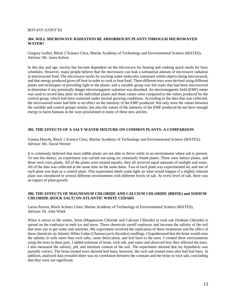#### BOTANY (CONT'D)

#### **304. WILL MICROWAVE RADIATION BE ABSORBED BY PLANTS THROUGH MICROWAVED WATER?**

Gregory Leifert, Block 2 Science Class, Marine Academy of Technology and Environmental Science (MATES), Advisor: Mr. Jason Kelsey

In this day and age, society has become dependent on the microwave for heating and cooking quick meals for busy schedules. However, many people believe that the microwave can leak a substantial amount of microwave radiation in microwaved food. The microwave works by exciting water molecules contained within objects being microwaved, and that energy produced gives off heat in order to cook or heat food. Three different tests were devised using different plants and techniques of providing light to the plants, and a variable group was fed water that had been microwaved to determine if any potentially danger electromagnetic radiation was absorbed. An electromagnetic field (EMF) meter was used to record data daily on the individual plants and these values were compared to the values produced by the control group, which had been sustained under normal growing conditions. According to the data that was collected, the microwaved water had little to no effect on the intensity of the EMF produced. Not only were the values between the variable and control groups similar, but also the values of the intensity of the EMF produced do not have enough energy to harm humans in the ways proclaimed in many of these new articles.

#### **305. THE EFFECTS OF A SALT-WATER MIXTURE ON COMMON PLANTS: A COMPARISON**

Gianna Maschi, Block 1 Science Class, Marine Academy of Technology and Environmental Science (MATES); Advisor: Mr. David Werner

It is commonly believed that most edible plants are not able to thrive while in an environment where salt is present. To test this theory, an experiment was carried out using six commonly found plants. Three were lettuce plants, and three were cress plants. All of the plants were treated equally, they all received equal amounts of sunlight and water. All of the data was collected at the same time on the same dates. Two of each plant was experimented on, and one of each plant was kept as a control plant. This experiment sheds some light on what would happen if a slightly tolerant plant was introduced to several different environments with different levels of salt. At every level of salt, there was an impact of plant growth.

#### **306. THE EFFECTS OF MAGNESIUM CHLORIDE AND CALCIUM CHLORIDE (BRINE) and SODIUM CHLORIDE (ROCK SALT) ON ATLANTIC WHITE CEDARS**

Larisa Paxton, Block Science Class; Marine Academy of Technology of Environmental Science (MATES), Advisor: Dr. John Wnek

When it snows in the winter, brine (Magnesium Chloride and Calcium Chloride) or rock salt (Sodium Chloride) is spread on the roadways to melt ice and snow. These chemicals runoff roadways and increase the salinity of the soil that trees use to get water and nutrients. My experiment involved the replication of these treatments and the effect of these chemicals on Atlantic White Cedar (*Chamaecyaris thyoides*) seedlings. I hypothesized that the brine would raise the salinity in soils more than rock salts, cause desiccation, and leaf burn to the trees. I created three environments using the trees in three pots. I added solutions of brine, rock salt, and water and observed how they effected the trees. I also measured the salinity, pH, and moisture content of the soil. The experiment showed that my hypothesis was partially correct. The brine treated trees showed leaf burn; however, the rock salt treated trees also had leaf burn. In addition, analyzed data revealed there was no correlation between the constant and the brine or rock salt, concluding that they were not significant.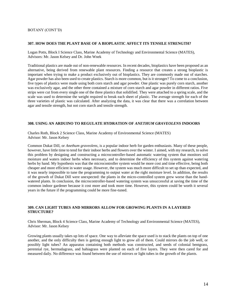#### BOTANY (CONT'D)

#### **307. HOW DOES THE PLANT BASE OF A BIOPLASTIC AFFECT ITS TENSILE STRENGTH?**

Logan Potts, Block I Science Class, Marine Academy of Technology and Environmental Science (MATES), Advisors: Mr. Jason Kelsey and Dr. John Wnek

Traditional plastics are made out of non-renewable resources. In recent decades, bioplastics have been proposed as an alternative, being derived from renewable plant resources. Finding a resource that creates a strong bioplastic is important when trying to make a product exclusively out of bioplastics. They are commonly made out of starches. Agar powder has also been used to create plastics. Starch is more common, but is it stronger? To come to a conclusion, five types of plastics were made using both corn starch and agar powder. One plastic was purely corn starch, another was exclusively agar, and the other three contained a mixture of corn starch and agar powder in different ratios. Five strips were cut from every single one of the three plastics that solidified. They were attached to a spring scale, and the scale was used to determine the weight required to break each sheet of plastic. The average strength for each of the three varieties of plastic was calculated. After analyzing the data, it was clear that there was a correlation between agar and tensile strength, but not corn starch and tensile strength.

#### **308. USING AN ARDUINO TO REGULATE HYDRATION OF** *ANETHUM GRAVEOLENS* **INDOORS**

Charles Roth, Block 2 Science Class, Marine Academy of Environmental Science (MATES) Advisor: Mr. Jason Kelsey

Common Dukat Dill, or *Anethum graveolens*, is a popular indoor herb for garden enthusiasts. Many of these people, however, have little time to tend for their indoor herbs and flowers over the winter. I aimed, with my research, to solve this problem by designing and constructing a microcontroller-based automatic watering system that monitors soil moisture and waters indoor herbs when necessary, and to determine the efficiency of this system against watering herbs by hand. My hypothesis was that the microcontroller system would be more cost and time effective, being both cheaper and more efficient in water usage. However, the system was much more difficult to set up than expected, and it was nearly impossible to tune the programming to output water at the right moisture level. In addition, the results of the growth of Dukat Dill were unexpected: the plants in the micro-controlled system grew worse than the handwatered plants. In conclusion, the microcontroller-based watering system was unsuccessful at saving the time of the common indoor gardener because it cost more and took more time. However, this system could be worth it several years in the future if the programming could be more fine-tuned.

#### **309. CAN LIGHT TUBES AND MIRRORS ALLOW FOR GROWING PLANTS IN A LAYERED STRUCTURE?**

Chris Sherman, Block 4 Science Class, Marine Academy of Technology and Environmental Science (MATES), Advisor: Mr. Jason Kelsey

Growing plants usually takes up lots of space. One way to alleviate the space used is to stack the plants on top of one another, and the only difficulty then is getting enough light to grow all of them. Could mirrors do the job well, or possibly light tubes? An apparatus containing both methods was constructed, and seeds of colonial bentgrass, perennial rye, bermudagrass, and bahiagrass were planted on each of five layers. They were then cared for and measured daily. No difference was found between the use of mirrors or light tubes in the growth of the plants.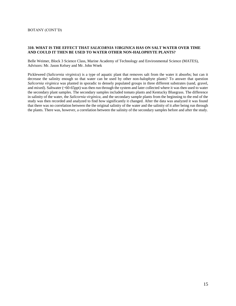#### **310. WHAT IS THE EFFECT THAT** *SALICORNIA VIRGINICA* **HAS ON SALT WATER OVER TIME AND COULD IT THEN BE USED TO WATER OTHER NON-HALOPHYTE PLANTS?**

Belle Weimer, Block 3 Science Class, Marine Academy of Technology and Environmental Science (MATES), Advisors: Mr. Jason Kelsey and Mr. John Wnek

Pickleweed (*Salicornia virginica*) is a type of aquatic plant that removes salt from the water it absorbs; but can it decrease the salinity enough so that water can be used by other non-halophyte plants? To answer that question *Salicornia virginica* was planted in sporadic to densely populated groups in three different substrates (sand, gravel, and mixed). Saltwater (~60-65ppt) was then run through the system and later collected where it was then used to water the secondary plant samples. The secondary samples included tomato plants and Kentucky Bluegrass. The difference in salinity of the water, the *Salicornia virginica,* and the secondary sample plants from the beginning to the end of the study was then recorded and analyzed to find how significantly it changed. After the data was analyzed it was found that there was no correlation between the the original salinity of the water and the salinity of it after being run through the plants. There was, however, a correlation between the salinity of the secondary samples before and after the study.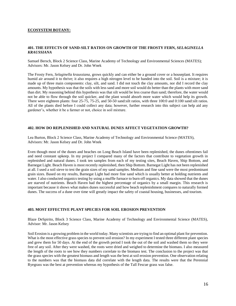#### **ECOSYSTEM BOTANY:**

#### **401. THE EFFECTS OF SAND-SILT RATIOS ON GROWTH OF THE FROSTY FERN,** *SELAGINELLA KRAUSSIANA*

Samuel Bersch, Block 2 Science Class, Marine Academy of Technology and Environmental Sciences (MATES); Advisors: Mr. Jason Kelsey and Dr. John Wnek

The Frosty Fern, *Selaginella kraussiana*, grows quickly and can either be a ground cover or a houseplant. It requires humid air around it to thrive; it also requires a high nitrogen level to be banded into the soil. Soil is a mixture; it is made up of three main components: clay, silt, and sand. I did not touch the clay amounts, nor did I record the clay amounts. My hypothesis was that the soils with less sand and more soil would do better than the plants with more sand than dirt. My reasoning behind this hypothesis was that silt would be less coarse than sand; therefore, the water would not be able to flow through the soil quicker, and the plant would absorb more water which would help its growth. There were eighteen plants: four 25-75, 75-25, and 50-50 sand:silt ratios, with three 100:0 and 0:100 sand:silt ratios. All of the plants died before I could collect any data; however, further research into this subject can help aid any gardener's, whether it be a farmer or not, choice in soil mixture.

#### **402. HOW DO REPLENISHED AND NATURAL DUNES AFFECT VEGETATION GROWTH?**

Lea Burton, Block 2 Science Class, Marine Academy of Technology and Environmental Science (MATES), Advisors: Mr. Jason Kelsey and Dr. John Wnek

Even though most of the dunes and beaches on Long Beach Island have been replenished, the dunes oftentimes fail and need constant upkeep. In my project I compared many of the factors that contribute to vegetation growth in replenished and natural dunes. I took ten samples from each of my testing sites, Beach Haven, Ship Bottom, and Barnegat Light. Beach Haven is most recently replenished, then Ship Bottom. Barnegat Light has not been replenished at all. I used a soil sieve to test the grain sizes of my sand samples. Medium and fine sand were the most predominant grain sizes. Based on my results, Barnegat Light had more fine sand which is usually better at holding nutrients and water. I also conducted organics testing by using a muffle furnace to burn off organics. My data showed that the dunes are starved of nutrients. Beach Haven had the highest percentage of organics by a small margin. This research is important because it shows what makes dunes successful and how beach replenishment compares to naturally formed dunes. The success of a dune over time will greatly impact the safety of coastal housing, businesses, and tourism.

#### **403. MOST EFFECTIVE PLANT SPECIES FOR SOIL EROSION PREVENTION**

Blaze DeSpirito, Block 3 Science Class, Marine Academy of Technology and Environmental Science (MATES), Advisor: Mr. Jason Kelsey

Soil Erosion is a growing problem in the world today. Many scientists are trying to find an optimal plant for prevention. What is the most effective grass species to prevent soil erosion? In my experiment I tested three different plant species and grew them for 50 days. At the end of the growth period I took the out of the soil and washed them so they were free of any soil. After they were washed, the roots were dried and weighed to determine the biomass. I also measured the length of the roots to see how they numbers correlate to the biomass test. The conclusion to the project was that the grass species with the greatest biomass and length was the best at soil erosion prevention. One observation relating to the numbers was that the biomass data did correlate with the length data. The results were that the Perennial Ryegrass was the best at prevention whereas my hypothesis of the Tall Fescue grass was false.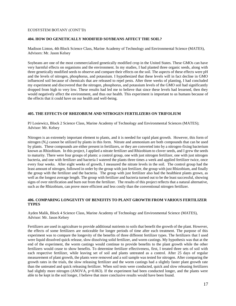#### ECOSYSTEM BOTANY (CONT'D)

#### **404. HOW DO GENETICALLY MODIFIED SOYBEANS AFFECT THE SOIL?**

Madison Linton, 4th Block Science Class, Marine Academy of Technology and Environmental Science (MATES), Advisors: Mr. Jason Kelsey

Soybeans are one of the most commercialized genetically modified crop in the United States. These GMOs can have very harmful effects on organisms and the environment. In my studies, I had planted three organic seeds, along with three genetically modified seeds to observe and compare their effects on the soil. The aspects of these effects were pH and the levels of nitrogen, phosphorus, and potassium. I hypothesized that these levels will in fact decline in GMO influenced soil because of chemicals that are released to repel pests. After three weeks of planting, I had concluded my experiment and discovered that the nitrogen, phosphorus, and potassium levels of the GMO soil had significantly dropped from high to very low. These results had led me to believe that since these levels had lessened, then they would negatively affect the environment, and thus our health. This experiment is important to us humans because of the effects that it could have on our health and well-being.

#### **405. THE EFFECTS OF RHIZOBIUM AND NITROGEN FERTILIZERS ON TRIFOLIUM**

PJ Losiewicz, Block 2 Science Class, Marine Academy of Technology and Environmental Sciences (MATES); Advisor: Mr. Kelsey

Nitrogen is an extremely important element to plants, and it is needed for rapid plant growth. However, this form of nitrogen  $(N_2)$  cannot be utilized by plants in this form. Nitrate and ammonium are both compounds that can be used by plants. These compounds are either present in fertilizers, or they are converted into by a nitrogen-fixing bacterium known as Rhizobium. In this project, I applied a nitrate fertilizer and Rhizobium to clover seeds, and I grew the seeds to maturity. There were four groups of plants: a control group, one with just nitrogen fertilizer, one with just nitrogen bacteria, and one with fertilizer and bacteria I watered the plants three times a week and applied fertilizer twice, once every four weeks. After eight weeks of growth, I measured the nitrate levels in the soil. The control group had the least amount of nitrogen, followed in order by the group with just fertilizer, the group with just Rhizobium, and finally the group with the fertilizer and the bacteria. The group with just fertilizer also had the healthiest plants grown, as well as the longest average length. The group with fertilizer and bacteria turned out to be the least successful, showing signs of over nitrification and burn out from the fertilizer. The results of this project reflects that a natural alternative, such as the Rhizobium, can prove more efficient and less costly than the conventional nitrogen fertilizer.

#### **406. COMPARING LONGEVITY OF BENEFITS TO PLANT GROWTH FROM VARIOUS FERTILIZER TYPES**

Ayden Malik, Block 4 Science Class, Marine Academy of Technology and Environmental Science (MATES), Advisor: Mr. Jason Kelsey

Fertilizers are used in agriculture to provide additional nutrients to soils that benefit the growth of the plant. However, the effects of some fertilizers are noticeable for longer periods of time after each treatment. The purpose of this experiment was to compare the longevity of the benefits of three different fertilizer types. The fertilizers that I used were liquid dissolved quick release, slow dissolving solid fertilizer, and worm castings. My hypothesis was that at the end of the experiment, the worm castings would continue to provide benefits to the plant growth while the other fertilizers would cease to show benefits. To determine fertilizer effectiveness, first, I treated three sets of soil with each respective fertilizer, while leaving set of soil and plants untreated as a control. After 25 days of regular measurement of plant growth, the plants were removed and a soil sample was tested for nitrogen. After comparing the growth rates in the trials, the slow releasing fertilizer and the worm castings had a slightly faster plant growth rate than the untreated and quick releasing fertilizer. When soil tests were conducted, quick and slow releasing fertilizers had slightly more nitrogen (ANOVA, p=0.063). If the experiment had been conducted longer, and the plants were able to be kept in the soil longer, I believe that more conclusive results would have been found.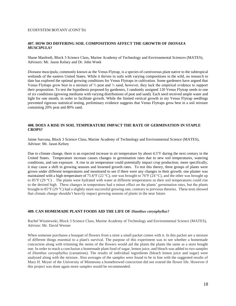#### ECOSYSTEM BOTANY (CONT'D)

#### **407. HOW DO DIFFERING SOIL COMPOSITIONS AFFECT THE GROWTH OF** *DIONAEA MUSCIPULA***?**

Shane Manfredi, Block 3 Science Class, Marine Academy of Technology and Environmental Sciences (MATES), Advisors: Mr. Jason Kelsey and Dr. John Wnek

*Dionaea muscipula*, commonly known as the Venus Flytrap, is a species of carnivorous plant native to the subtropical wetlands of the eastern United States. While it thrives in soils with varying compositions in the wild, no research to date has explored the optimal growing conditions for Venus Flytraps in cultivation. Some gardeners have argued that Venus Flytraps grow best in a mixture of ⅔ peat and ⅓ sand, however, they lack the empirical evidence to support their proposition. To test the hypothesis proposed by gardeners, I randomly assigned 120 Venus Flytrap seeds to one of six conditions (growing mediums with varying distributions of peat and sand). Each seed received ample water and light for one month, in order to facilitate growth. While the limited vertical growth in my Venus Flytrap seedlings prevented rigorous statistical testing, preliminary evidence suggests that Venus Flytraps grow best in a soil mixture containing 20% peat and 80% sand.

#### **408. DOES A RISE IN SOIL TEMPERATURE IMPACT THE RATE OF GERMINATION IN STAPLE CROPS?**

Jaime Sarcona, Block 3 Science Class, Marine Academy of Technology and Environmental Science (MATES), Advisor: Mr. Jason Kelsey

Due to climate change, there is an expected increase in air temperature by about  $4.5^{\circ}$ F during the next century in the United States. Temperature increase causes changes in germination rates due to new soil temperatures, watering conditions, and sun exposure. A rise in air temperature could potentially impact crop production; more specifically, it may cause a shift in growing seasons and lessened growth rates. To test this theory, three groups of plants were grown under different temperatures and monitored to see if there were any changes in their growth: one planter was maintained with a high temperature of 71.6°F (22 °C), one was brought to 76°F (24 °C), and the other was brought up to 85°F (29 °C) . The plants were hydrated with water at different temperatures so their soil temperatures could rise to the desired high. These changes in temperature had a minor effect on the plants' germination rates, but the plants brought to 85°F (29 °C) had a slightly more successful growing rate, contrary to previous theories. These tests showed that climate change shouldn't heavily impact growing seasons of plants in the near future.

#### **409. CAN HOMEMADE PLANT FOODS AID THE LIFE OF** *Dianthus caryophyllus***?**

Rachel Wisniewski, Block 3 Science Class, Marine Academy of Technology and Environmental Science (MATES), Advisor: Mr. David Werner

When someone purchases a bouquet of flowers from a store a small packet comes with it. In this packet are a mixture of different things essential to a plant's survival. The purpose of this experiment was to see whether a homemade concoction along with trimming the stems of the flowers would aid the plants the plants the same as a store bought one. In order to reach a conclusion a homemade plant food of sugar, lemon juice, and bleach was added to two samples of *Dianthus caryophyllus* (carnations). The results of individual ingredients (bleach lemon juice and sugar) were analyzed along with the mixture. Also averages of the samples were found to be in line with the suggested results of Mary H. Meyer of the University of Minnesota a homebrewed concoction did not extend the flower life. However if this project was done again more samples would be recommended.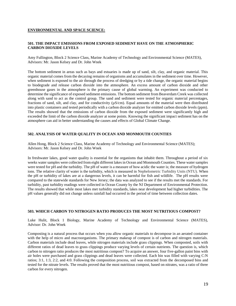#### **ENVIRONMENTAL AND SPACE SCIENCE:**

#### **501. THE IMPACT EMISSIONS FROM EXPOSED SEDIMENT HAVE ON THE ATMOSPHERIC CARBON DIOXIDE LEVELS**

Amy Fullington, Block 2 Science Class, Marine Academy of Technology and Environmental Science (MATES), Advisors: Mr. Jason Kelsey and Dr. John Wnek

The bottom sediment in areas such as bays and estuaries is made up of sand, silt, clay, and organic material. This organic material comes from the decaying remains of organisms and accumulates in the sediment over time. However, when sediment is exposed to the air through the process of dredging or by a tide change, the organic material begins to biodegrade and release carbon dioxide into the atmosphere. An excess amount of carbon dioxide and other greenhouse gases in the atmosphere is the primary cause of global warming. An experiment was conducted to determine the significance of exposed sediment emissions. The bottom sediment from Beaverdam Creek was collected along with sand to act as the control group. The sand and sediment were tested for organic material percentages, fractions of sand, silt, and clay, and for conductivity  $(\mu S/cm)$ . Equal amounts of the material were then distributed into plastic containers and tested periodically with a carbon dioxide analyzer for emitted carbon dioxide levels (ppm). The results showed that the emissions of carbon dioxide from the exposed sediment were significantly high and exceeded the limit of the carbon dioxide analyzer at some points. Knowing the significant impact sediment has on the atmosphere can aid in better understanding the causes and effects of Global Climate Change.

#### **502. ANALYSIS OF WATER QUALITY IN OCEAN AND MONMOUTH COUNTIES**

Allen Hong, Block 2 Science Class, Marine Academy of Technology and Environmental Science (MATES); Advisors: Mr. Jason Kelsey and Dr. John Wnek

In freshwater lakes, good water quality is essential for the organisms that inhabit them. Throughout a period of six weeks water samples were collected from eight different lakes in Ocean and Monmouth Counties. These water samples were tested for pH and the turbidity. The pH of water is a measure of how acidic the water is; the measure of hydrogen ions. The relative clarity of water is the turbidity, which is measured in Nephelometric Turbidity Units (NTU). When the pH or turbidity of lakes are at a dangerous levels, it can be harmful for fish and wildlife. The pH results were compared to the statewide standards for New Jersey; the data was analyzed to see if the results met the standards. For turbidity, past turbidity readings were collected in Ocean County by the NJ Department of Environmental Protection. The results showed that while most lakes met turbidity standards, lakes near development had higher turbidities. The pH values generally did not change unless rainfall had occurred in the period of time between collection dates.

#### **503. WHICH CARBON TO NITROGEN RATIO PRODUCES THE MOST NUTRITIOUS COMPOST?**

Luke Hulit, Block 1 Biology, Marine Academy of Technology and Environmental Science (MATES), Advisor: Dr. John Wnek

Composting is a natural process that occurs when you allow organic materials to decompose in an aerated container with the help of micro and macroorganisms. The primary makeup of compost is of carbon and nitrogen materials. Carbon materials include dead leaves, while nitrogen materials include grass clippings. When composted, soils with different ratios of dead leaves to grass clippings produce varying levels of certain nutrients. The question is, which carbon to nitrogen ratio produces the most nutritious compost? To acquire an answer, four five-gallon paint bins with air holes were purchased and grass clippings and dead leaves were collected. Each bin was filled with varying C:N ratios; 3:1, 1:3, 2:2, and 4:0. Following the composition process, soil was extracted from the decomposed bins and tested for the nitrate levels. The results proved that the most nutritious compost, based on nitrates, was a ratio of three carbon for every nitrogen.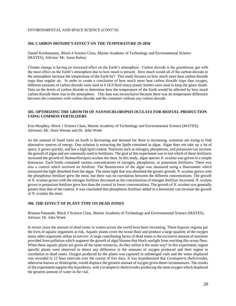#### ENVIRONMENTAL AND SPACE SCIENCE (CONT'D)

#### **504. CARBON DIOXIDE'S EFFECT ON THE TEMPERATURE IN 2050**

Daniel Krishnasamy, Block 4 Science Class, Marine Academy of Technology and Environmental Science (MATES), Advisor: Mr. Jason Kelsey

Climate change is having an increased effect on the Earth's atmosphere. Carbon dioxide is the greenhouse gas with the most effect on the Earth's atmosphere due to how much is present. How much would all of the carbon dioxide in the atmosphere increase the temperature of the Earth by? This study focuses on how much more heat carbon dioxide traps than regular air. In order to create a conclusion of how much more heat carbon dioxide traps than oxygen, different amounts of carbon dioxide were used in 4 16.9 fluid ounce plastic bottles were used to keep the gases inside. Data on the levels of carbon dioxide to determine how the temperature of the Earth would be affected by how much carbon dioxide there was in the atmosphere. This data was inconclusive because there was no temperature difference between the containers with carbon dioxide and the container without any carbon dioxide.

#### **505. OPTIMIZING THE GROWTH OF** *NANNOCHLOROPSIS OCULATA* **FOR BIOFUEL PRODUCTION USING COMMON FERTILIZERS**

Erin Murphey, Block 1 Science Class, Marine Academy of Technology and Environmental Science (MATES); Advisors: Mr. Dave Werner and Dr. John Wnek

As the amount of fossil fuels on Earth is decreasing and demand for them is increasing, scientists are trying to find alternative sources of energy. One solution is extracting the lipids contained in algae. Algae does not take up a lot of space, it grows quickly, and has a high lipid content. Nutrients such as nitrogen, phosphorus, and potassium can increase the growth of algae and are commonly used in fertilizers. The goal of this experiment was to test which of these fertilizers increased the growth of *Nannochloropsis oculata* the most. In this study, algae species *N. oculata* was grown in a simple bioreactor. Each bottle contained various concentrations of nitrogen, phosphorus, or potassium fertilizers. There was also a control which received no fertilizer. The fluorescence of the algae was measured using a fluorometer which measured the light absorbed from the algae. The more light that was absorbed the greater growth. *N. oculata* grown with the phosphorus fertilizer grew the most, but there was no correlation between the different concentrations. The growth of *N. oculata* grown with the nitrogen fertilizer decreased as the concentration of nitrogen fertilizer increased. *N. oculata*  grown in potassium fertilizer grew less than the control in lower concentrations. The growth of *N. oculata* was generally greater than that of the control. It was concluded that phosphorus fertilizer added to a bioreactor can increase the growth of *N. oculata* the most.

#### **506. THE EFFECT OF PLANT TYPE ON DEAD ZONES**

Brianna Patnaude, Block 3 Science Class, Marine Academy of Technology and Environmental Science (MATES), Advisor: Dr. John Wnek

In recent years the amount of dead zones in waters across the world have been increasing. These hypoxic regions put the lives of aquatic organisms at risk. Aquatic plants cover the ocean floor and produce a large quantity of the oxygen many other organisms utilize to survive. A large contributing factor of dead zones is the excessive amount of nutrients provided from pollution which augment the growth of algal blooms that block sunlight from reaching this ocean floor. When these aquatic plants are given all the same resources, do they utilize it the same way? In this experiment, region specific plants were observed to detect any difference in the amounts of oxygen produced and their region in correlation to dead zones. Oxygen produced by the plants was captured in submerged vials and the water displaced was recorded in 12 hour intervals over the course of five days. It was hypothesized that *Ceratopteris thalictroides*, otherwise known as Watersprite, would displace the greatest amount of oxygen given these circumstances. The results of the experiment support this hypothesis, with *Ceratopteris thalictroides* producing the most oxygen which displaced the greatest amount of water in the vial.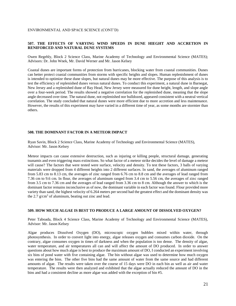#### ENVIRONMENTAL AND SPACE SCIENCE (CONT'D)

#### **507. THE EFFECTS OF VARYING WIND SPEEDS IN DUNE HIEGHT AND ACCRETION IN RENIFORCED AND NATURAL DUNE SYSTEMS**

Owen Regehly, Block 2 Science Class, Marine Academy of Technology and Environmental Science (MATES); Advisors: Dr. John Wnek, Mr. David Werner and Mr. Jason Kelsey

Coastal dunes are important forms of protection from hurricanes, blocking water from coastal communities. Dunes can better protect coastal communities from storms with specific heights and slopes. Human replenishment of dunes is intended to optimize these dune slopes, but natural dunes may be more effective. The purpose of this analysis is to test the efficiency of replenished dunes versus natural dunes. To conduct this experiment, a natural dune in Barnegat, New Jersey and a replenished dune of Bay Head, New Jersey were measured for dune height, length, and slope angle over a four-week period. The results showed a negative correlation for the replenished dune, meaning that the slope angle decreased over time. The natural dune, not replenished nor bulldozed, appeared consistent with a neutral vertical correlation. The study concluded that natural dunes were more efficient due to more accretion and less maintenance. However, the results of this experiment may have varied in a different time of year, as some months are stormier than others.

#### **508. THE DOMINANT FACTOR IN A METEOR IMPACT**

Ryan Savin, Block 2 Science Class, Marine Academy of Technology and Environmental Science (MATES), Advisor: Mr. Jason Kelsey

Meteor impacts can cause extensive destruction, such as injuring or killing people, structural damage, generating tsunamis and even triggering mass extinctions. So what factor of a meteor strike decides the level of damage a meteor will cause? The factors that were tested were surface, velocity and density. To test these factors, 3 balls of varying materials were dropped from 4 different heights into 2 different surfaces. In sand, the averages of aluminum ranged from 5.83 cm to 8.13 cm, the averages of zinc ranged from 6.76 cm to 8.8 cm and the averages of lead ranged from 7.36 cm to 9.6 cm. In flour, the averages of aluminum ranged from 3.4 cm to 5.56 cm, the averages of zinc ranged from 3.5 cm to 7.36 cm and the averages of lead ranged from 3.36 cm to 8 cm. Although the answer to which is the dominant factor remains inconclusive as of now, the dominant variable in each factor was found. Flour provided more variety than sand, the highest velocity of 6.264 meters per second had the greatest effect and the dominant density was the  $2.7$  g/cm<sup>3</sup> of aluminum, beating out zinc and lead.

#### **509. HOW MUCH ALGAE IS BEST TO PRODUCE A LARGE AMOUNT OF DISSOLVED OXYGEN?**

Peter Taboada, Block 4 Science Class, Marine Academy of Technology and Environmental Science (MATES), Advisor: Mr. Jason Kelsey

Algae produces Dissolved Oxygen (DO), microscopic oxygen bubbles mixed within water, through photosynthesis. In order to convert light into energy, algae releases oxygen and consumes carbon dioxide. On the contrary, algae consumes oxygen in times of darkness and when the population is too dense. The density of algae, water temperature, and air temperatures all can and will affect the amount of DO produced. In order to answer questions about how much algae is best to produce the maximum amount of DO, I conducted an experiment involving six bins of pond water with five containing algae. The bin without algae was used to determine how much oxygen was entering the bins. The other five bins had the same amount of water from the same source and had different amounts of algae. The results were taken over the course of 15 days were DO in each bin as well as air and water temperature. The results were then analyzed and exhibited that the algae actually reduced the amount of DO in the bins and had a consistent decline as more algae was added with the exception of bin #5.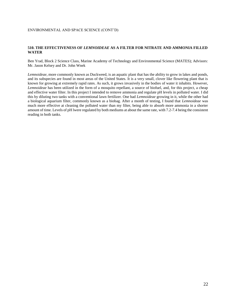#### **510. THE EFFECTIVENESS OF** *LEMNOIDEAE* **AS A FILTER FOR NITRATE AND AMMONIA FILLED WATER**

Ben Yrad, Block 2 Science Class, Marine Academy of Technology and Environmental Science (MATES); Advisors: Mr. Jason Kelsey and Dr. John Wnek

*Lemnoideae,* more commonly known as Duckweed, is an aquatic plant that has the ability to grow in lakes and ponds, and its subspecies are found in most areas of the United States. It is a very small, clover like flowering plant that is known for growing at extremely rapid rates. As such, it grows invasively in the bodies of water it inhabits. However, *Lemnoideae* has been utilized in the form of a mosquito repellant, a source of biofuel, and, for this project, a cheap and effective water filter. In this project I intended to remove ammonia and regulate pH levels in polluted water. I did this by diluting two tanks with a conventional lawn fertilizer. One had *Lemnoideae* growing in it, while the other had a biological aquarium filter, commonly known as a biobag. After a month of testing, I found that *Lemnoideae* was much more effective at cleaning the polluted water than my filter, being able to absorb more ammonia in a shorter amount of time. Levels of pH lwere regulated by both mediums at about the same rate, with 7.2-7.4 being the consistent reading in both tanks.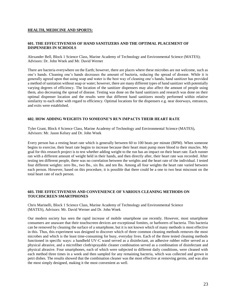#### **HEALTH, MEDICINE AND SPORTS:**

#### **601. THE EFFECTIVENESS OF HAND SANITIZERS AND THE OPTIMAL PLACEMENT OF DISPENSERS IN SCHOOLS**

Alexander Bell, Block 1 Science Class, Marine Academy of Technology and Environmental Science (MATES); Advisors: Dr. John Wnek and Mr. David Werner

There are bacteria everywhere on the Earth; however, there are places where these microbes are not welcome, such as one's hands. Cleaning one's hands decreases the amount of bacteria, reducing the spread of disease. While it is generally agreed upon that using soap and water is the best way of cleaning one's hands, hand sanitizer has provided a method of sanitation without soap or water; however, there are many different types of hand sanitizer with potentially varying degrees of efficiency. The location of the sanitizer dispensers may also affect the amount of people using them, also decreasing the spread of disease. Testing was done on the hand sanitizers and research was done on their optimal dispenser location and the results were that different hand sanitizers mostly performed within relative similarity to each other with regard to efficiency. Optimal locations for the dispensers e.g. near doorways, entrances, and exits were established.

#### **602. HOW ADDING WEIGHTS TO SOMEONE'S RUN IMPACTS THEIR HEART RATE**

Tyler Grant, Block 4 Science Class, Marine Academy of Technology and Environmental Science (MATES), Advisors: Mr. Jason Kelsey and Dr. John Wnek

Every person has a resting heart rate which is generally between 60 to 100 beats per minute (BPM). When someone begins to exercise, their heart rate begins to increase because their heart must pump more blood to their muscles. My goal for this research project is to test whether adding weight to the run has an impact on their heart rate. Each runner ran with a different amount of weight held in their hands, and then directly after, their heart rate was recorded. After testing ten different people, there was no correlation between the weights and the heart rate of the individual. I tested four different weights: zero lbs., two lbs., six lbs. and ten lbs. Among all four weights the heart rate varied between each person. However, based on this procedure, it is possible that there could be a one to two beat miscount on the total heart rate of each person.

#### **603. THE EFFECTIVENESS AND CONVENIENCE OF VARIOUS CLEANING METHODS ON TOUCHSCREEN SMARTPHONES**

Chris Marinelli, Block 1 Science Class, Marine Academy of Technology and Environmental Science (MATES), Advisors: Mr. David Werner and Dr. John Wnek

Our modern society has seen the rapid increase of mobile smartphone use recently. However, most smartphone consumers are unaware that their touchscreen devices are exceptional fomites, or harborers of bacteria. This bacteria can be removed by cleaning the surface of a smartphone, but it is not known which of many methods is most effective in this. Thus, this experiment was designed to discover which of three common cleaning methods removes the most microbes and which is the least time-consuming for busy, everyday lives. Each of the three tested cleaning methods functioned in specific ways: a handheld UV-C wand served as a disinfectant, an adhesive rubber roller served as a physical abrasive, and a microfiber cloth/sprayable cleaner combination served as a combination of disinfectant and physical abrasive. Four smartphones, each of which were subjected to different daily conditions, were cleaned with each method three times in a week and then sampled for any remaining bacteria, which was collected and grown in petri dishes. The results showed that the combination cleaner was the most effective at removing germs, and was also the most simply designed, making it the most convenient as well.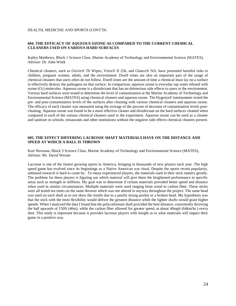#### HEALTH, MEDICINE AND SPORTS (CONT'D)

#### **604. THE EFFICACY OF AQUEOUS OZONE AS COMPARED TO THE CURRENT CHEMICAL CLEANERS USED ON VARIOUS HARD SURFACES**

Kailey Matthews, Block 1 Science Class, Marine Academy of Technology and Environmental Science (MATES), Advisor: Dr. John Wnek

Chemical cleaners, such as Oxivir® Tb Wipes, Virex® II 256, and Glance® NA, have presented harmful risks to children, pregnant women, adults, and the environment. Dwell times are also an important part of the usage of chemical cleaners that users often do not follow. Dwell times are the amount of time a chemical must lay on a surface to effectively destroy the pathogens on that surface. In comparison, aqueous ozone is everyday tap water infused with ozone  $(O_3)$  molecules. Aqueous ozone is a disinfectant that has no deleterious side effects to users or the environment. Various hard surfaces were tested to determine the level of contamination at the Marine Academy of Technology and Environmental Science (MATES) using chemical cleaners and aqueous ozone. The Hygenia® luminometer tested the pre- and post-contamination levels of the surfaces after cleaning with various chemical cleaners and aqueous ozone. The efficacy of each cleaner was measured using the average of the percent of decrease of contamination levels postcleaning. Aqueous ozone was found to be a more effective cleaner and disinfectant on the hard surfaces cleaned when compared to each of the various chemical cleaners used in the experiment. Aqueous ozone can be used as a cleaner and sanitizer in schools, restaurants and other institutions without the negative side effects chemical cleaners present.

#### **605. THE EFFECT DIFFERING LACROSSE SHAFT MATERIALS HAVE ON THE DISTANCE AND SPEED AT WHICH A BALL IS THROWN**

Kurt Newman, Block 3 Science Class, Marine Academy of Technology and Environmental Science (MATES), Advisor: Mr. David Werner

Lacrosse is one of the fastest growing sports in America, bringing in thousands of new players each year. The high speed game has evolved since its beginnings as a Native American war ritual. Despite the sports recent popularity, unbiased research is hard to come by. To many experienced players, the materials used in their stick matters greatly. The problem for these players is figuring out which material will give them the heightened performance in specific areas such as strength or stiffness. My goal was to determine if certain materials provided better speed and distance when used in similar circumstances. Multiple materials were used ranging from wood to carbon fiber. These sticks were all tested ten times on the same thrower which was not altered in anyway throughout the project. The same head was used on each shaft as to not skew the results due to a poorly strung pocket or a broken head. My hypothesis was that the stick with the most flexibility would deliver the greatest distance while the lighter shafts would grant higher speeds. When I analyzed the data I found that the polycarbonate shaft provided the best distance, consistently throwing the ball upwards of 150ft (46m), while the carbon fiber allowed for greater speed, at about 40mph (64km/hr.) every shot. This study is important because it provides lacrosse players with insight as to what materials will impact their game in a positive way.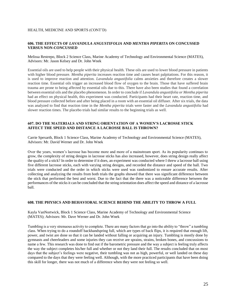#### HEALTH, MEDICINE AND SPORTS (CONT'D)

#### **606. THE EFFECTS OF** *LAVANDULA ANGUSTIFOLIA* **AND** *MENTHA PIPERITA* **ON CONCUSSED VERSUS NON-CONCUSSED**

#### Melissa Restrepo, Block 2 Science Class, Marine Academy of Technology and Environmental Science (MATES), Advisors: Mr. Jason Kelsey and Dr. John Wnek

Essential oils are used to help people with their physical health. These oils are used to lower blood pressure in patients with higher blood pressure. *Mentha piperita* increases reaction time and causes heart palpitations. For this reason, it is used to improve reaction and attention. *Lavandula angustifolia* calms anxieties and therefore creates a slower reaction time. Essential oils trigger an increased blood flow of oxygen to the brain. Those that have suffered brain trauma are prone to being affected by essential oils due to this. There have also been studies that found a correlation between essential oils and the placebo phenomenon. In order to conclude if *Lavandula angustifolia or Mentha piperita*  had an effect on physical health, this experiment was conducted. Participants had their heart rate, reaction time, and blood pressure collected before and after being placed in a room with an essential oil diffuser. After six trials, the data was analyzed to find that reaction time in the *Mentha piperita* trials were faster and the *Lavandula angustifolia* had slower reaction times. The placebo trials had similar results to the beginning trials as well.

#### **607. DO THE MATERIALS AND STRING ORIENTATION OF A WOMEN'S LACROSSE STICK AFFECT THE SPEED AND DISTANCE A LACROSSE BALL IS THROWN?**

Carrie Spexarth, Block 1 Science Class, Marine Academy of Technology and Environmental Science (MATES), Advisors: Mr. David Werner and Dr. John Wnek

Over the years, women's lacrosse has become more and more of a mainstream sport. As its popularity continues to grow, the complexity of string designs in lacrosse sticks has also increased, however, does string design really affect the quality of a stick? In order to determine if it does, an experiment was conducted where I threw a lacrosse ball using five different lacrosse sticks, each with varying string designs, and recorded the distance and speed of the ball. Two trials were conducted and the order in which sticks were used was randomized to ensure accurate results. After collecting and analyzing the results from both trials the graphs showed that there was significant difference between the stick that performed the best and worst. Due to the fact that the there was a noticeable difference between the performances of the sticks it can be concluded that the string orientation does affect the speed and distance of a lacrosse ball.

#### **608. THE PHYSICS AND BEHAVIORAL SCIENCE BEHIND THE ABILITY TO THROW A FULL**

Kayla VanNortwick, Block 1 Science Class, Marine Academy of Technology and Environmental Science (MATES); Advisors: Mr. Dave Werner and Dr. John Wnek

Tumbling is a very strenuous activity to complete. There are many factors that go into the ability to "throw" a tumbling class. When trying to do a roundoff backhandspring full, which are types of back flips, it is required that enough lift, power, and twist are done so that it can be landed without falling or acquiring an injury. Tumbling is mostly done by gymnasts and cheerleaders and some injuries they can receive are sprains, strains, broken bones, and concussions to name a few. This research was done to find out if the barometric pressure and the way a subject is feeling truly affects the way the subject completes his/her full and whether or not they land their full. The results concluded that on most days that the subject's feelings were negative, their tumbling was not as high, powerful, or well landed on these day compared to the days that they were feeling well. Although, with the more practiced participants that have been doing this skill for longer, there was not much of a difference when they were not feeling so well.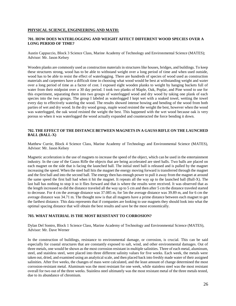#### **PHYSICAL SCIENCE, ENGINEERING AND MATH:**

#### **701. HOW DOES WATERLOGGING AND WEIGHT AFFECT DIFFERENT WOOD SPECIES OVER A LONG PERIOD OF TIME?**

Austin Cappuccio, Block 3 Science Class, Marine Academy of Technology and Environmental Science (MATES); Advisor: Mr. Jason Kelsey

Wooden planks are commonly used as construction materials in structures like houses, bridges, and buildings. To keep these structures strong, wood has to be able to withstand weight over a long period of time and when used outside, wood has to be able to resist the effect of waterlogging. There are hundreds of species of wood used as construction materials and carpenters have a difficult time in choosing what wood would be best at withstanding weight and water over a long period of time as a factor of cost. I exposed eight wooden planks to weight by hanging buckets full of water from their midpoint over a 30 day period. I took two planks of Maple, Oak, Poplar, and Pine wood to use for this experiment, separating them into two groups of waterlogged wood and dry wood by taking one plank of each species into the two groups. The group I labeled as waterlogged I kept wet with a soaked towel, wetting the towel every day to effectively waterlog the wood. The results showed intense bowing and bending of the wood from both parties of wet and dry wood. In the dry wood group, maple wood resisted the weight the best, however when the wood was waterlogged, the oak wood resisted the weight the best. This happened with the wet wood because oak is very porous so when it was waterlogged the wood actually expanded and counteracted the force bending it down.

#### **702. THE EFFECT OF THE DISTANCE BETWEEN MAGNETS IN A GAUSS RIFLE ON THE LAUNCHED BALL (BALL-X)**

Matthew Currie, Block 4 Science Class, Marine Academy of Technology and Environmental Science (MATES), Advisor: Mr. Jason Kelsey

Magnetic acceleration is the use of magnets to increase the speed of the object, which can be used in the entertainment industry. In the case of the Gauss Rifle the objects that are being accelerated are steel balls. Two balls are placed on each magnet on the side that is facing the launched ball. The initial steel ball is released and is pulled by the magnet increasing the speed. When the steel ball hits the magnet the energy moving forward is transferred through the magnet and the first ball and into the second ball. The energy then has enough power to pull it away from the magnet at around the same speed the first ball had when it hit the magnet. It repeats all the way up to the launched ball (Ball-X). The last ball has nothing to stop it so it flies forward and that is where the results were received. It was observed that as the length increased so did the distance traveled all the way up to 5 cm and then after 5 cm the distance traveled started to decrease. For 4 cm the average distance was 37.085 m, for 5m the average distance was 39.89 m, and for 6 cm the average distance was 34.71 m. The thought now is that all magnets have a prime distance between each magnet to get the farthest distance. This data represents that if companies are looking to use magnets they should look into what the optimal spacing distance that will obtain the best results and save be the most economically.

#### **703. WHAT MATERIAL IS THE MOST RESISTANT TO CORROSION?**

Dylan Del Sontro, Block 1 Science Class, Marine Academy of Technology and Environmental Science (MATES), Advisor: Mr. Dave Werner

In the construction of buildings, resistance to environmental damage, or corrosion, is crucial. This can be said especially for coastal structures that are constantly exposed to salt, wind, and other environmental damages. Out of three metals, one would be shown as the most corrosion resistant in multiple salinities. Three of each metal, aluminum, steel, and stainless steel, were placed into three different salinity values for five weeks. Each week, the metals were taken out, dried, and examined using an analytical scale, and then placed back into freshly made water of their assigned salinities. After five weeks, the changes of mass were calculated, and the least amount of change determined the most corrosion-resistant metal. Aluminum was the most resistant for one week, while stainless steel was the most resistant overall for two out of the three weeks. Stainless steel ultimately was the most resistant metal of the three metals tested, due to its abundance of chromium.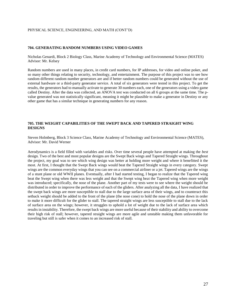#### PHYSICAL SCIENCE, ENGINEERING, AND MATH (CONT'D)

#### **704. GENERATING RANDOM NUMBERS USING VIDEO GAMES**

Nicholas Genardi, Block 2 Biology Class, Marine Academy of Technology and Environmental Science (MATES) Advisor: Mr. Kelsey

Random numbers are used in many places, in credit card numbers, for IP addresses, for video and online poker, and so many other things relating to security, technology, and entertainment. The purpose of this project was to see how random different random number generators are and if better random numbers could be generated without the use of external hardware or a third-party generator service. A total of six generators were tested in this project. To get the results, the generators had to manually activate to generate 30 numbers each, one of the generators using a video game called Destiny. After the data was collected, an ANOVA test was conducted on all 6 groups at the same time. The pvalue generated was not statistically significant, meaning it might be plausible to make a generator in Destiny or any other game that has a similar technique in generating numbers for any reason.

#### **705. THE WEIGHT CAPABILITIES OF THE SWEPT BACK AND TAPERED STRAIGHT WING DESIGNS**

Steven Holmberg, Block 3 Science Class, Marine Academy of Technology and Environmental Science (MATES), Advisor: Mr. David Werner

Aerodynamics is a field filled with variables and risks. Over time several people have attempted at making the *best* design. Two of the best and most popular designs are the Swept Back wings and Tapered Straight wings. Throughout the project, my goal was to see which wing design was better at holding more weight and where it benefitted it the most. At first, I thought that the Swept Back wings would beat the Tapered Straight wings in every category. Swept wings are the common everyday wings that you can see on a commercial airliner or a jet. Tapered wings are the wings of a stunt plane or old WWII planes. Eventually, after I had started testing, I began to realize that the Tapered wing beat the Swept wing when there was less weight and that the Swept wing beat the Tapered wing when more weight was introduced; specifically, the nose of the plane. Another part of my tests were to see where the weight should be distributed in order to improve the performance of each of the gliders. After analyzing all the data, I have realized that the swept back wings are more susceptible to stall due to the large surface area of their wings, and to counteract this setback weight should be added to the front of the plane (the nose cone) to hold the nose of the plane down in order to make it more difficult for the glider to stall. The tapered straight wings are less susceptible to stall due to the lack of surface area on the wings; however, it struggles to uphold a lot of weight due to the lack of surface area which results in instability. Therefore, the swept back wings are more useful because of their stability and ability to overcome their high risk of stall; however, tapered straight wings are more agile and unstable making them unfavorable for traveling but still is safer when it comes to an increased risk of stall.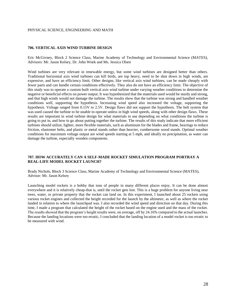#### PHYSICAL SCIENCE, ENGINEERING AND MATH

#### **706. VERTICAL AXIS WIND TURBINE DESIGN**

Eric McGivney, Block 2 Science Class, Marine Academy of Technology and Environmental Science (MATES), Advisors: Mr. Jason Kelsey, Dr. John Wnek and Ms. Jessica Olsen

Wind turbines are very relevant in renewable energy, but some wind turbines are designed better than others. Traditional horizontal axis wind turbines can kill birds, are top heavy, need to be shut down in high winds, are expensive, and have an efficiency limit. Other designs, like vertical axis wind turbines, can be made cheaply with fewer parts and can handle certain conditions effectively. They also do not have an efficiency limit. The objective of this study was to operate a custom built vertical axis wind turbine under varying weather conditions to determine the negative or beneficial effects on power output. It was hypothesized that the materials used would be sturdy and strong, and that high winds would not damage the turbine. The results show that the turbine was strong and handled weather conditions well, supporting the hypothesis. Increasing wind speed also increased the voltage, supporting the hypothesis. Voltage ranged from 0.15V to 2.5V. Design flaws did not support the hypothesis. The belt system that was used caused the turbine to be unable to operate unless in high wind speeds, along with other design flaws. These results are important in wind turbine design for what materials to use depending on what conditions the turbine is going to put in, and how to go about putting together the turbine. The results of this study indicate that more efficient turbines should utilize, lighter, more flexible materials, such as aluminum for the blades and frame, bearings to reduce friction, elastomer belts, and plastic or metal stands rather than heavier, cumbersome wood stands. Optimal weather conditions for maximum voltage output are wind speeds starting at 5 mph, and ideally no precipitation, as water can damage the turbine, especially wooden components.

#### **707. HOW ACCURATELY CAN A SELF-MADE ROCKET SIMULATION PROGRAM PORTRAY A REAL-LIFE MODEL ROCKET LAUNCH?**

Brady Nichols, Block 3 Science Class, Marine Academy of Technology and Environmental Science (MATES), Advisor: Mr. Jason Kelsey

Launching model rockets is a hobby that tons of people in many different places enjoy. It can be done almost everywhere and it is relatively cheap-that is, until the rocket gets lost. This is a huge problem for anyone living near trees, water, or private property that the rocket can land on. In this experiment, I launched about 25 rockets using various rocket engines and collected the height recorded for the launch by the altimeter, as well as where the rocket landed in relation to where the launchpad was. I also recorded the wind speed and direction on that day. During this time, I made a program that calculated the height of the rocket based on the engine used and the mass of the rocket. The results showed that the program's height results were, on average, off by 24.16% compared to the actual launches. Because the landing locations were too erratic, I concluded that the landing location of a model rocket is too erratic to be measured with wind.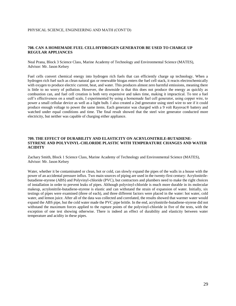#### PHYSICAL SCIENCE, ENGINEERING AND MATH (CONT'D)

#### **708. CAN A HOMEMADE FUEL CELL/HYDROGEN GENERATOR BE USED TO CHARGE UP REGULAR APPLIANCES**

Neal Prana, Block 3 Science Class, Marine Academy of Technology and Environmental Science (MATES), Advisor: Mr. Jason Kelsey

Fuel cells convert chemical energy into hydrogen rich fuels that can efficiently charge up technology. When a hydrogen rich fuel such as clean natural gas or renewable biogas enters the fuel cell stack, it reacts electrochemically with oxygen to produce electric current, heat, and water. This produces almost zero harmful emissions, meaning there is little to no worry of pollution. However, the downside is that this does not produce the energy as quickly as combustion can, and fuel cell creation is both very expensive and takes time, making it impractical. To test a fuel cell's effectiveness on a small scale, I experimented by using a homemade fuel cell generator, using copper wire, to power a small cellular device as well as a light bulb. I also created a 2nd generator using steel wire to see if it could produce enough voltage to power the same items. Each generator was charged with a 9 volt Rayovac® battery and watched under equal conditions and time. The final result showed that the steel wire generator conducted more electricity, but neither was capable of charging either appliance.

#### **709. THE EFFECT OF DURABILITY AND ELASTICITY ON ACRYLONITRILE-BUTADIENE-STYRENE AND POLYVINYL-CHLORIDE PLASTIC WITH TEMPERATURE CHANGES AND WATER ACIDITY**

Zachary Smith, Block 1 Science Class, Marine Academy of Technology and Environmental Science (MATES), Advisor: Mr. Jason Kelsey

Water, whether it be contaminated or clean, hot or cold, can slowly expand the pipes of the walls in a house with the power of an accidental pressure influx. Two main sources of piping are used in the twenty-first century: Acrylonitrilebutadiene-styrene (ABS) and Polyvinyl-chloride (PVC), but contractors and plumbers need to make the right choices of installation in order to prevent leaks of pipes. Although polyvinyl-chloride is much more durable in its molecular makeup, acrylonitrile-butadiene-styrene is elastic and can withstand the strain of expansion of water. Initially, six testings of pipes were examined (three of each), and three different factors were placed in the water: hot water, cold water, and lemon juice. After all of the data was collected and correlated, the results showed that warmer water would expand the ABS pipe, but the cold water made the PVC pipe brittle. In the end, acrylonitrile-butadiene-styrene did not withstand the maximum forces applied to the rupture points of the polyvinyl-chloride in five of the tests, with the exception of one test showing otherwise. There is indeed an effect of durability and elasticity between water temperature and acidity in these pipes.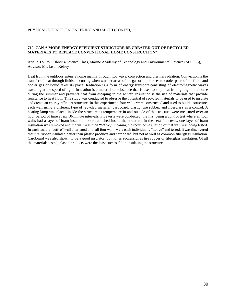#### **710. CAN A MORE ENERGY EFFICIENT STRUCTURE BE CREATED OUT OF RECYCLED MATERIALS TO REPLACE CONVENTIONAL HOME CONSTRUCTION?**

Arielle Touitou, Block 4 Science Class, Marine Academy of Technology and Environmental Science (MATES), Advisor: Mr. Jason Kelsey

Heat from the outdoors enters a home mainly through two ways: convection and thermal radiation. Convection is the transfer of heat through fluids, occurring when warmer areas of the gas or liquid rises to cooler parts of the fluid, and cooler gas or liquid takes its place. Radiation is a form of energy transport consisting of electromagnetic waves traveling at the speed of light. Insulation is a material or substance that is used to stop heat from going into a home during the summer and prevents heat from escaping in the winter. Insulation is the use of materials that provide resistance to heat flow. This study was conducted to observe the potential of recycled materials to be used to insulate and create an energy efficient structure. In this experiment, four walls were constructed and used to build a structure, each wall using a different type of recycled material: cardboard, plastic, tire rubber, and fiberglass as a control. A heating lamp was placed inside the structure as temperature in and outside of the structure were measured over an hour period of time at six 10-minute intervals. Five tests were conducted, the first being a control test where all four walls had a layer of foam insulation board attached inside the structure. In the next four tests, one layer of foam insulation was removed and the wall was then "active," meaning the recycled insulation of that wall was being tested. In each test the "active" wall alternated until all four walls were each individually "active" and tested. It was discovered that tire rubber insulated better than plastic products and cardboard, but not as well as common fiberglass insulation. Cardboard was also shown to be a good insulator, but not as successful as tire rubber or fiberglass insulation. Of all the materials tested, plastic products were the least successful in insulating the structure.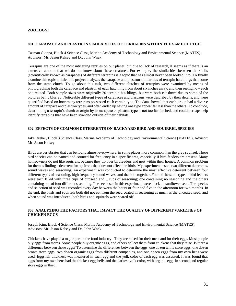#### **ZOOLOGY:**

#### **801. CARAPACE AND PLASTRON SIMILARITIES OF TERRAPINS WITHIN THE SAME CLUTCH**

Tasman Cioppa, Block 4 Science Class, Marine Academy of Technology and Environmental Science (MATES); Advisors: Mr. Jason Kelsey and Dr. John Wnek

Terrapins are one of the most intriguing reptiles on our planet, but due to lack of research, it seems as if there is an extensive amount that we do not know about these creatures. For example, the similarities between the shells (scientifically known as carapaces) of different terrapins is a topic that has almost never been looked into. To finally examine this topic a little, this project analyzes the carapace and plastron similarities of terrapin hatchlings that come from the same clutch. To go about this task, two different clutches of terrapins were examined by means of photographing both the carapace and plastron of each hatchling from about six inches away, and then seeing how each one related. Both sample sizes were originally 20 terrapin hatchlings, but were both cut down due to some of the pictures being blurred. Noticeable different types of carapaces and plastrons were described by their details, and were quantified based on how many terrapins possessed each certain type. The data showed that each group had a diverse amount of carapace and plastron types, and often ended up having one type appear far less than the others. To conclude, determining a terrapin's clutch or origin by its carapace or plastron type is not too far-fetched, and could perhaps help identify terrapins that have been stranded outside of their habitats.

#### **802. EFFECTS OF COMMON DETERRENTS ON BACKYARD BIRD AND SQUIRREL SPECIES**

Jake Dreher, Block 3 Science Class, Marine Academy of Technology and Environmental Science (MATES), Advisor: Mr. Jason Kelsey

Birds are vertebrates that can be found almost everywhere, in some places more common than the grey squirrel. These bird species can be named and counted for frequency in a specific area, especially if bird feeders are present. Many homeowners do not like squirrels, because they tip over birdfeeders and nest within their homes. A common problem for them is finding a deterrent for squirrels that does not affect the birds. My experiment tested two different deterrents, sound waves and seasoning. An experiment was conducted to determine the most effective deterrent between four different types of seasoning, high frequency sound waves, and the both together. Four of the same type of bird feeders were each filled with three cups of birdseed and cups of seasoning; one containing no seasoning and the others containing one of four different seasoning. The seed used in this experiment were black oil sunflower seed. The species and selection of seed was recorded every day between the hours of four and five in the afternoon for two months. In the end, the birds and squirrels both did not eat from the seed coated in seasoning as much as the uncoated seed, and when sound was introduced, both birds and squirrels were scared off.

#### **803. ANALYZING THE FACTORS THAT IMPACT THE QUALITY OF DIFFERENT VARIETIES OF CHICKEN EGGS**

Joseph Kim, Block 4 Science Class, Marine Academy of Technology and Environmental Science (MATES), Advisors: Mr. Jason Kelsey and Dr. John Wnek

Chickens have played a major part in the food industry. They are raised for their meat and for their eggs. Most people buy eggs from stores. Some people buy organic eggs, and others collect them from chickens that they raise. Is there a difference between those eggs? To determine the differences between the eggs, one dozen white store eggs, one dozen brown store eggs, two dozen organic eggs from different companies, and one dozen eggs from my own hens were used. Eggshell thickness was measured in each egg and the yolk color of each egg was assessed. It was found that eggs from my own hens had the thickest eggshells and the darkest yolk color, with organic eggs in second and regular store eggs in third.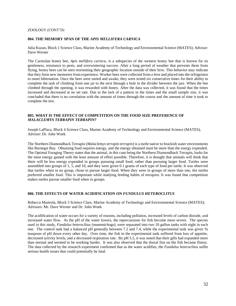#### ZOOLOGY (CONT'D)

#### **804. THE MEMORY SPAN OF THE** *APIS MELLIFERA CARNICA*

Julia Kuzan, Block 1 Science Class, Marine Academy of Technology and Environmental Science (MATES); Advisor: Dave Werner

The Carniolan honey bee, *Apis mellifera carnica,* is a subspecies of the western honey bee that is known for its gentleness, resistance to pests, and overwintering success. After a long period of weather that prevents them from flying, honey bees can be seen reorienting their geographic location outside of their hive. This behavior may indicate that they form new memories from experience. Worker bees were collected from a hive and placed into the refrigerator to onset hibernation. Once the bees were sorted and awake, they were tested six consecutive times for their ability to complete the task of climbing from one jar to the next through a hole in the divider between the jars. When the bee climbed through the opening, it was rewarded with honey. After the data was collected, it was found that the times increased and decreased at no set rate. Due to the lack of a pattern in the times and the small sample size, it was concluded that there is no correlation with the amount of times through the course and the amount of time it took to complete the test.

#### **805. WHAT IS THE EFFECT OF COMPETITION ON THE FOOD SIZE PREFERENCE OF**  *MALACLEMYS TERRAPIN TERRAPIN***?**

Joseph LaPlaca, Block 4 Science Class, Marine Academy of Technology and Environmental Science (MATES), Advisor: Dr. John Wnek

The Northern Diamondback Terrapin (*Malaclemys terrapin terrapin*) is a turtle native to brackish water environments like Barnegat Bay. Obtaining food requires energy, and the energy obtained must be more than the energy expended. The Optimal Foraging Theory states that the animal, in this case being the Northern Diamondback Terrapin, looks for the most energy gained with the least amount of effort possible. Therefore, it is thought that animals will think that there will be less energy expended in groups pursuing small food, rather than pursuing larger food. Turtles were assembled into groups of 1, 5, and 10, and they were given 0.1 grams of each type of food per turtle. It was observed that turtles when in no group, chose to pursue larger food. When they were in groups of more than one, the turtles preferred smaller food. This is important while studying feeding habits of terrapins. It was found that competition makes turtles pursue smaller food when in groups.

#### **806. THE EFFECTS OF WATER ACIDIFICATION ON** *FUNDULUS HETEROCLITUS*

Rebecca Mastrola, Block 3 Science Class, Marine Academy of Technology and Environmental Science (MATES); Advisors: Mr. Dave Werner and Dr. John Wnek

The acidification of water occurs for a variety of reasons, including pollution, increased levels of carbon dioxide, and increased water flow. As the pH of the water lowers, the repercussions for fish become more severe. The species used in this study, *Fundulus heteroclitus* (mummichogs), were separated into two 10 gallon tanks with eight in each one. The control tank had a balanced pH generally between 7.2 and 7.4, while the experimental tank was given  $\frac{4}{5}$ teaspoon of pH down every other day. Over time, the fish in the experimental tank suffered from loss of appetite, decreased activity levels, and a decreased respiration rate. By pH 5.5, it was noted that their gills had expanded more than normal and seemed to be working harder. It was also observed that the dorsal fins on the fish became flimsy. The data collected by the research experiment confirmed that as the water acidifies, the *Fundulus heteroclitus* suffer serious health issues that could potentially be fatal.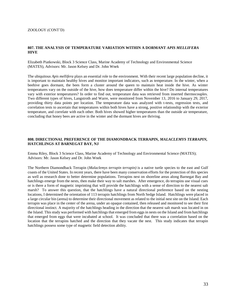#### ZOOLOGY (CONT'D)

#### **807. THE ANALYSIS OF TEMPERATURE VARIATION WITHIN A DORMANT** *APIS MELLIFERA* **HIVE**

Elizabeth Piatkowski, Block 3 Science Class, Marine Academy of Technology and Environmental Science (MATES), Advisors: Mr. Jason Kelsey and Dr. John Wnek

The ubiquitous *Apis mellifera* plays an essential role to the environment. With their recent large population decline, it is important to maintain healthy hives and monitor important indicators, such as temperature. In the winter, when a beehive goes dormant, the bees form a cluster around the queen to maintain heat inside the hive. As winter temperatures vary on the outside of the hive, how does temperature differ within the hive? Do internal temperatures vary with exterior temperatures? In order to find out, temperature data was retrieved from inserted thermocouples. Two different types of hives, Langstroth and Warre, were monitored from November 13, 2016 to January 29, 2017, providing thirty data points per location. The temperature data was analyzed with t-tests, regression tests, and correlation tests to ascertain that temperatures within both hives have a strong, positive relationship with the exterior temperature, and correlate with each other. Both hives showed higher temperatures than the outside air temperature, concluding that honey bees are active in the winter and the dormant hives are thriving.

#### **808. DIRECTIONAL PREFERENCE OF THE DIAMONDBACK TERRAPIN,** *MALACLEMYS TERRAPIN,*  **HATCHLINGS AT BARNEGAT BAY, NJ**

Emma Riley, Block 3 Science Class, Marine Academy of Technology and Environmental Science (MATES); Advisors: Mr. Jason Kelsey and Dr. John Wnek

The Northern Diamondback Terrapin (*Malaclemys terrapin terrapin)* is a native turtle species to the east and Gulf coasts of the United States. In recent years, there have been many conservation efforts for the protection of this species as well as research done to better determine populations. Terrapins nest on shoreline areas along Barnegat Bay and hatchlings emerge from the nests, then make their way to salt marshes. After emergence, do terrapins use visual cues or is there a form of magnetic imprinting that will provide the hatchlings with a sense of direction to the nearest salt marsh? To answer this question, that the hatchlings have a natural directional preference based on the nesting locations, I determined the orientation of 113 terrapin hatchlings from North Sedge Island. Hatchlings were placed in a large circular bin (arena) to determine their directional movement as related to the initial nest site on the Island. Each terrapin was place in the center of the arena, under an opaque contained, then released and monitored to see their first directional instinct. A majority of the hatchlings heading in the direction that the nearest salt marsh was located in on the Island. This study was performed with hatchlings that emerged from eggs in nests on the Island and from hatchlings that emerged from eggs that were incubated at school. It was concluded that there was a correlation based on the location that the terrapins hatched and the direction that they vacate the nest. This study indicates that terrapin hatchlings possess some type of magnetic field detection ability.